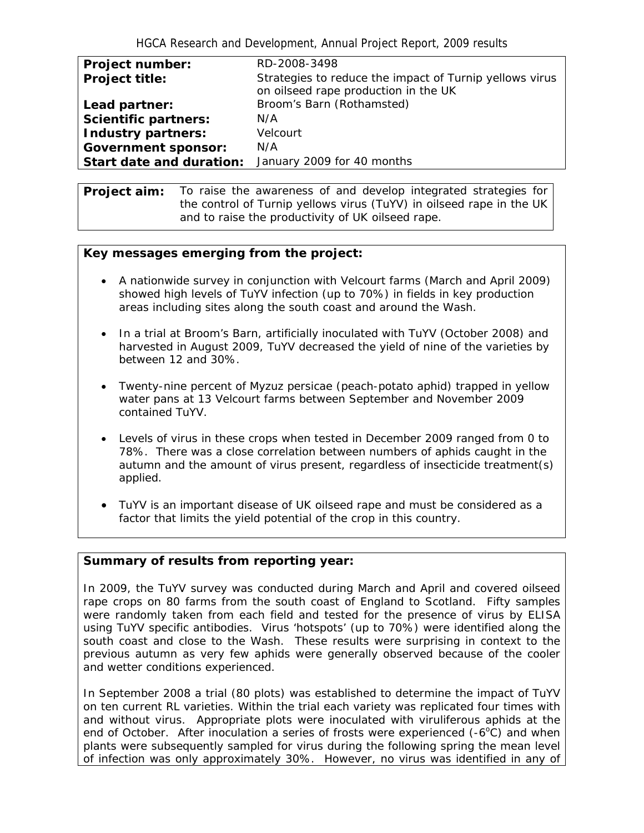| <b>Project number:</b>      | RD-2008-3498                                                                                    |
|-----------------------------|-------------------------------------------------------------------------------------------------|
| <b>Project title:</b>       | Strategies to reduce the impact of Turnip yellows virus<br>on oilseed rape production in the UK |
| Lead partner:               | Broom's Barn (Rothamsted)                                                                       |
| <b>Scientific partners:</b> | N/A                                                                                             |
| Industry partners:          | Velcourt                                                                                        |
| <b>Government sponsor:</b>  | N/A                                                                                             |
| Start date and duration:    | January 2009 for 40 months                                                                      |

**Project aim:** To raise the awareness of and develop integrated strategies for the control of *Turnip yellows virus* (TuYV) in oilseed rape in the UK and to raise the productivity of UK oilseed rape.

## **Key messages emerging from the project:**

- A nationwide survey in conjunction with Velcourt farms (March and April 2009) showed high levels of TuYV infection (up to 70%) in fields in key production areas including sites along the south coast and around the Wash.
- In a trial at Broom's Barn, artificially inoculated with TuYV (October 2008) and harvested in August 2009, TuYV decreased the yield of nine of the varieties by between 12 and 30%.
- Twenty-nine percent of *Myzuz persicae* (peach-potato aphid) trapped in yellow water pans at 13 Velcourt farms between September and November 2009 contained TuYV.
- Levels of virus in these crops when tested in December 2009 ranged from 0 to 78%. There was a close correlation between numbers of aphids caught in the autumn and the amount of virus present, regardless of insecticide treatment(s) applied.
- TuYV is an important disease of UK oilseed rape and must be considered as a factor that limits the yield potential of the crop in this country.

## **Summary of results from reporting year:**

In 2009, the TuYV survey was conducted during March and April and covered oilseed rape crops on 80 farms from the south coast of England to Scotland. Fifty samples were randomly taken from each field and tested for the presence of virus by ELISA using TuYV specific antibodies. Virus 'hotspots' (up to 70%) were identified along the south coast and close to the Wash. These results were surprising in context to the previous autumn as very few aphids were generally observed because of the cooler and wetter conditions experienced.

In September 2008 a trial (80 plots) was established to determine the impact of TuYV on ten current RL varieties. Within the trial each variety was replicated four times with and without virus. Appropriate plots were inoculated with viruliferous aphids at the end of October. After inoculation a series of frosts were experienced  $(-6^{\circ}C)$  and when plants were subsequently sampled for virus during the following spring the mean level of infection was only approximately 30%. However, no virus was identified in any of